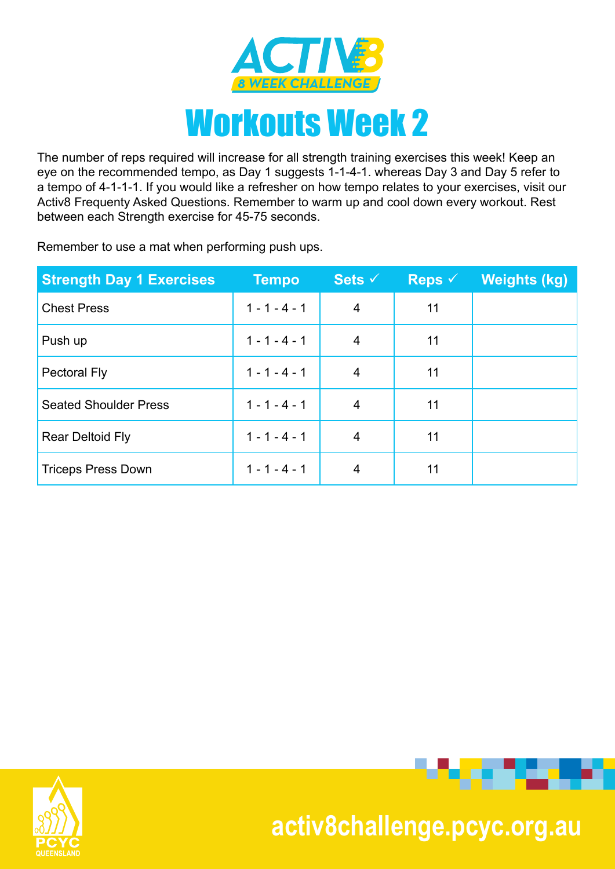

The number of reps required will increase for all strength training exercises this week! Keep an eye on the recommended tempo, as Day 1 suggests 1-1-4-1. whereas Day 3 and Day 5 refer to a tempo of 4-1-1-1. If you would like a refresher on how tempo relates to your exercises, visit our Activ8 Frequenty Asked Questions. Remember to warm up and cool down every workout. Rest between each Strength exercise for 45-75 seconds.

Remember to use a mat when performing push ups.

| <b>Strength Day 1 Exercises</b> | <b>Tempo</b>    | Sets $\checkmark$ | Reps $\checkmark$ | Weights (kg) |
|---------------------------------|-----------------|-------------------|-------------------|--------------|
| <b>Chest Press</b>              | $1 - 1 - 4 - 1$ | $\overline{4}$    | 11                |              |
| Push up                         | $1 - 1 - 4 - 1$ | 4                 | 11                |              |
| <b>Pectoral Fly</b>             | $1 - 1 - 4 - 1$ | 4                 | 11                |              |
| <b>Seated Shoulder Press</b>    | $1 - 1 - 4 - 1$ | 4                 | 11                |              |
| <b>Rear Deltoid Fly</b>         | $1 - 1 - 4 - 1$ | 4                 | 11                |              |
| <b>Triceps Press Down</b>       | $1 - 1 - 4 - 1$ | 4                 | 11                |              |





. . . . .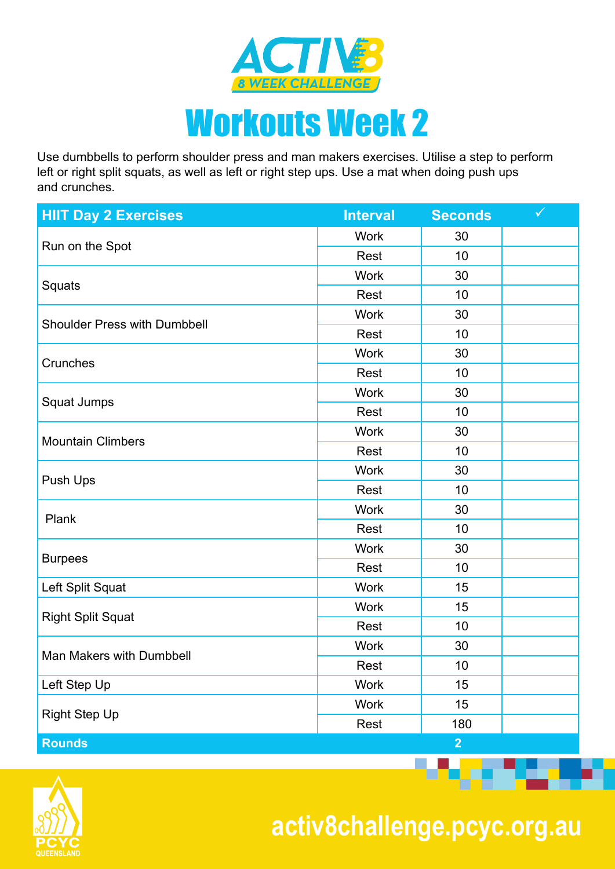

Use dumbbells to perform shoulder press and man makers exercises. Utilise a step to perform left or right split squats, as well as left or right step ups. Use a mat when doing push ups and crunches.

| <b>HIIT Day 2 Exercises</b>         | <b>Interval</b> | <b>Seconds</b> | $\checkmark$ |
|-------------------------------------|-----------------|----------------|--------------|
|                                     | <b>Work</b>     | 30             |              |
| Run on the Spot                     | Rest            | 10             |              |
|                                     | <b>Work</b>     | 30             |              |
| Squats                              | Rest            | 10             |              |
| <b>Shoulder Press with Dumbbell</b> | <b>Work</b>     | 30             |              |
|                                     | Rest            | 10             |              |
| Crunches                            | <b>Work</b>     | 30             |              |
|                                     | Rest            | 10             |              |
|                                     | <b>Work</b>     | 30             |              |
| Squat Jumps                         | Rest            | 10             |              |
| <b>Mountain Climbers</b>            | <b>Work</b>     | 30             |              |
|                                     | Rest            | 10             |              |
|                                     | <b>Work</b>     | 30             |              |
| Push Ups                            | Rest            | 10             |              |
| Plank                               | <b>Work</b>     | 30             |              |
|                                     | Rest            | 10             |              |
|                                     | <b>Work</b>     | 30             |              |
| <b>Burpees</b>                      | Rest            | 10             |              |
| Left Split Squat                    | <b>Work</b>     | 15             |              |
|                                     | <b>Work</b>     | 15             |              |
| <b>Right Split Squat</b>            | Rest            | 10             |              |
|                                     | <b>Work</b>     | 30             |              |
| Man Makers with Dumbbell            | Rest            | 10             |              |
| Left Step Up                        | <b>Work</b>     | 15             |              |
| <b>Right Step Up</b>                | <b>Work</b>     | 15             |              |
|                                     | Rest            | 180            |              |
| <b>Rounds</b>                       |                 | $\overline{2}$ |              |



 **activ8challenge.pcyc.org.au**

**The Second Contract**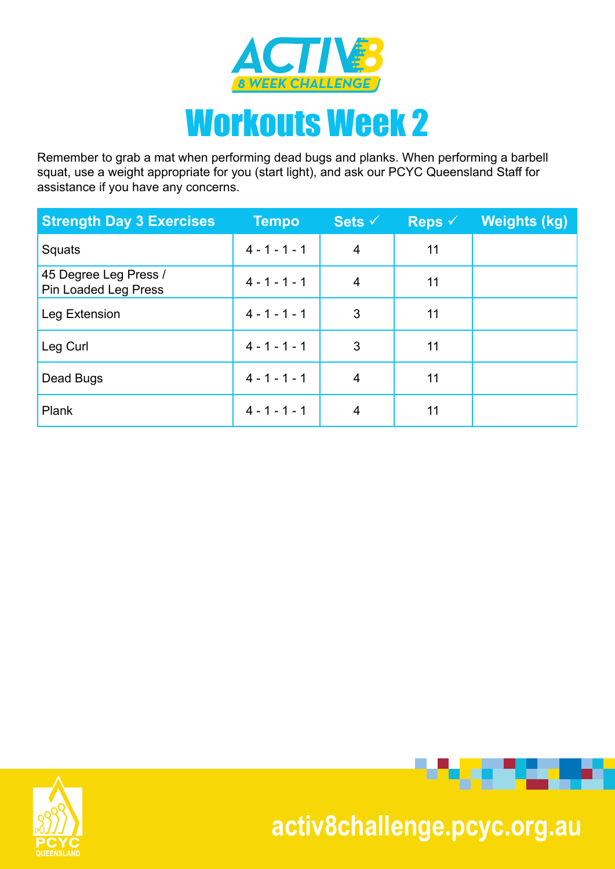

Remember to grab a mat when performing dead bugs and planks. When performing a barbell squat, use a weight appropriate for you (start light), and ask our PCYC Queensland Staff for assistance if you have any concerns.

| <b>Strength Day 3 Exercises</b>               | <b>Tempo</b>    | Sets $\checkmark$ | Reps $\checkmark$ | <b>Weights (kg)</b> |
|-----------------------------------------------|-----------------|-------------------|-------------------|---------------------|
| Squats                                        | $4 - 1 - 1 - 1$ | $\overline{4}$    | 11                |                     |
| 45 Degree Leg Press /<br>Pin Loaded Leg Press | $4 - 1 - 1 - 1$ | 4                 | 11                |                     |
| Leg Extension                                 | $4 - 1 - 1 - 1$ | 3                 | 11                |                     |
| Leg Curl                                      | $4 - 1 - 1 - 1$ | 3                 | 11                |                     |
| Dead Bugs                                     | $4 - 1 - 1 - 1$ | 4                 | 11                |                     |
| Plank                                         | $4 - 1 - 1 - 1$ | 4                 | 11                |                     |





## **activ8challenge.pcyc.org.au**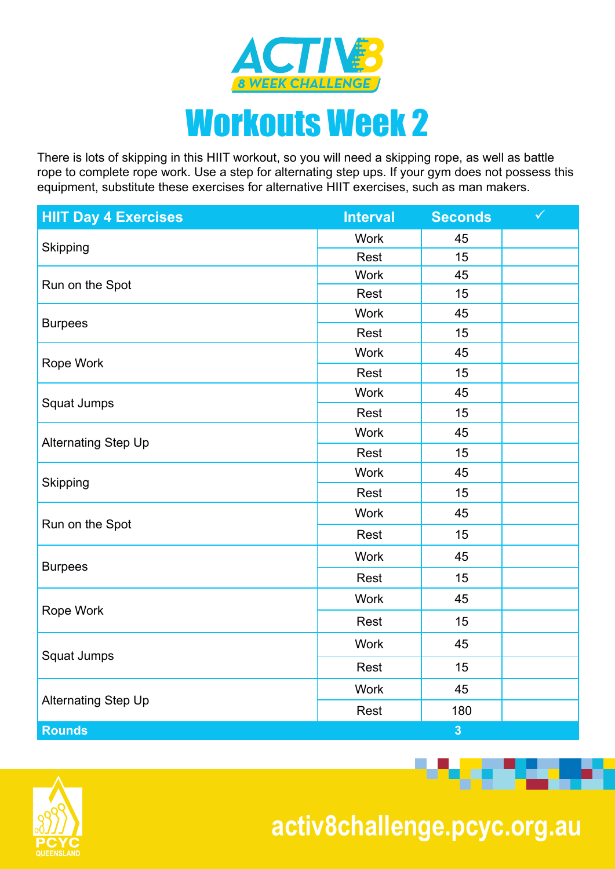

There is lots of skipping in this HIIT workout, so you will need a skipping rope, as well as battle rope to complete rope work. Use a step for alternating step ups. If your gym does not possess this equipment, substitute these exercises for alternative HIIT exercises, such as man makers.

| <b>HIIT Day 4 Exercises</b> | <b>Interval</b> | <b>Seconds</b>                                                                                                                                                                                                                                                                                                                                     | $\checkmark$ |
|-----------------------------|-----------------|----------------------------------------------------------------------------------------------------------------------------------------------------------------------------------------------------------------------------------------------------------------------------------------------------------------------------------------------------|--------------|
|                             | <b>Work</b>     | 45                                                                                                                                                                                                                                                                                                                                                 |              |
| Skipping                    | Rest            | 15<br><b>Work</b><br>45<br>Rest<br>15<br><b>Work</b><br>45<br>Rest<br>15<br><b>Work</b><br>45<br>Rest<br>15<br><b>Work</b><br>45<br>Rest<br>15<br><b>Work</b><br>45<br>15<br>Rest<br><b>Work</b><br>45<br>Rest<br>15<br>45<br><b>Work</b><br>Rest<br>15<br><b>Work</b><br>45<br>15<br>Rest<br>45<br><b>Work</b><br>Rest<br>15<br><b>Work</b><br>45 |              |
| Run on the Spot             |                 |                                                                                                                                                                                                                                                                                                                                                    |              |
|                             |                 |                                                                                                                                                                                                                                                                                                                                                    |              |
| <b>Burpees</b>              |                 |                                                                                                                                                                                                                                                                                                                                                    |              |
|                             |                 |                                                                                                                                                                                                                                                                                                                                                    |              |
| Rope Work                   |                 |                                                                                                                                                                                                                                                                                                                                                    |              |
|                             |                 |                                                                                                                                                                                                                                                                                                                                                    |              |
|                             |                 |                                                                                                                                                                                                                                                                                                                                                    |              |
| Squat Jumps                 |                 |                                                                                                                                                                                                                                                                                                                                                    |              |
|                             |                 |                                                                                                                                                                                                                                                                                                                                                    |              |
| Alternating Step Up         |                 |                                                                                                                                                                                                                                                                                                                                                    |              |
|                             |                 |                                                                                                                                                                                                                                                                                                                                                    |              |
| Skipping                    |                 |                                                                                                                                                                                                                                                                                                                                                    |              |
|                             |                 |                                                                                                                                                                                                                                                                                                                                                    |              |
| Run on the Spot             |                 |                                                                                                                                                                                                                                                                                                                                                    |              |
|                             |                 |                                                                                                                                                                                                                                                                                                                                                    |              |
| <b>Burpees</b>              |                 |                                                                                                                                                                                                                                                                                                                                                    |              |
|                             |                 |                                                                                                                                                                                                                                                                                                                                                    |              |
| Rope Work                   |                 |                                                                                                                                                                                                                                                                                                                                                    |              |
|                             |                 |                                                                                                                                                                                                                                                                                                                                                    |              |
| <b>Squat Jumps</b>          | Rest            | 15                                                                                                                                                                                                                                                                                                                                                 |              |
|                             | <b>Work</b>     | 45                                                                                                                                                                                                                                                                                                                                                 |              |
| <b>Alternating Step Up</b>  | Rest            | 180                                                                                                                                                                                                                                                                                                                                                |              |
| <b>Rounds</b>               |                 | $\overline{\mathbf{3}}$                                                                                                                                                                                                                                                                                                                            |              |



 **activ8challenge.pcyc.org.au**

**STATISTICS**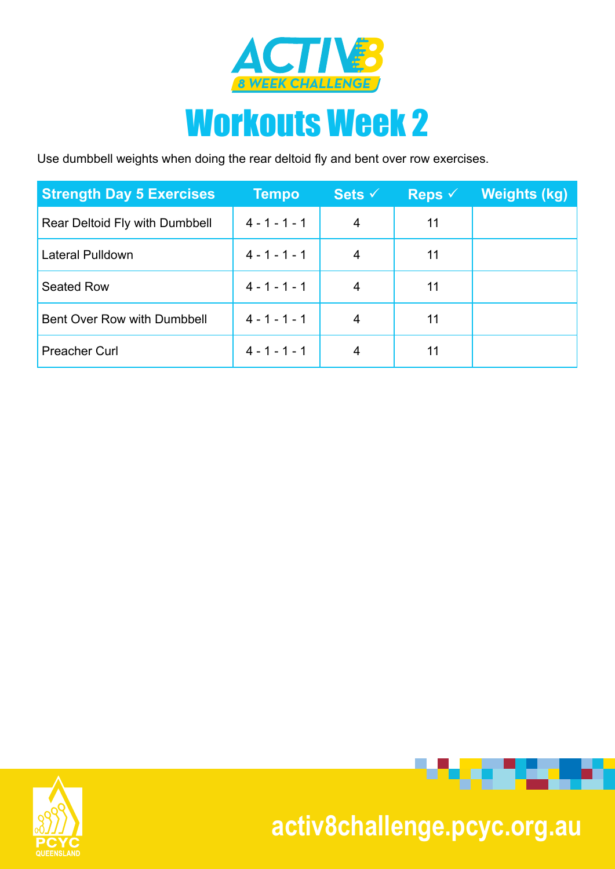

## Workouts Week 2

Use dumbbell weights when doing the rear deltoid fly and bent over row exercises.

| <b>Strength Day 5 Exercises</b> | <b>Tempo</b>    | Sets $\checkmark$ | Reps $\checkmark$ | <b>Weights (kg)</b> |
|---------------------------------|-----------------|-------------------|-------------------|---------------------|
| Rear Deltoid Fly with Dumbbell  | $4 - 1 - 1 - 1$ | 4                 | 11                |                     |
| Lateral Pulldown                | $4 - 1 - 1 - 1$ | 4                 | 11                |                     |
| Seated Row                      | $4 - 1 - 1 - 1$ | 4                 | 11                |                     |
| Bent Over Row with Dumbbell     | $4 - 1 - 1 - 1$ | 4                 | 11                |                     |
| <b>Preacher Curl</b>            | $4 - 1 - 1 - 1$ | 4                 | 11                |                     |





## **activ8challenge.pcyc.org.au**